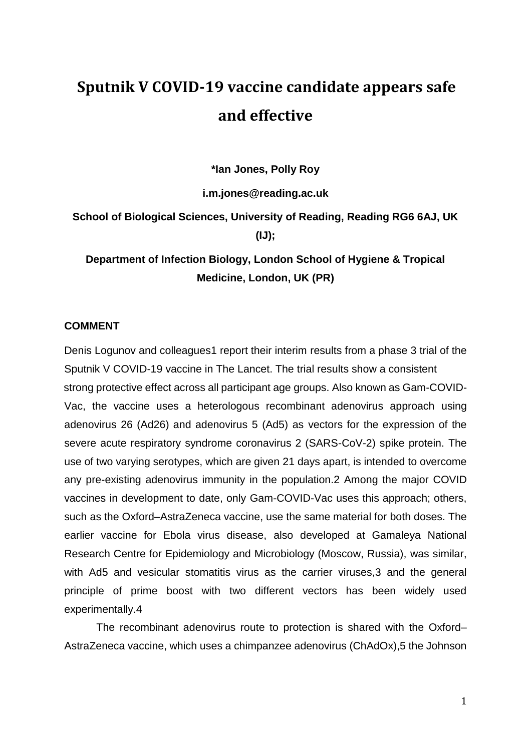## **Sputnik V COVID-19 vaccine candidate appears safe and effective**

**\*Ian Jones, Polly Roy**

**i.m.jones@reading.ac.uk**

**School of Biological Sciences, University of Reading, Reading RG6 6AJ, UK (IJ);**

**Department of Infection Biology, London School of Hygiene & Tropical Medicine, London, UK (PR)**

## **COMMENT**

Denis Logunov and colleagues1 report their interim results from a phase 3 trial of the Sputnik V COVID-19 vaccine in The Lancet. The trial results show a consistent strong protective effect across all participant age groups. Also known as Gam-COVID-Vac, the vaccine uses a heterologous recombinant adenovirus approach using adenovirus 26 (Ad26) and adenovirus 5 (Ad5) as vectors for the expression of the severe acute respiratory syndrome coronavirus 2 (SARS-CoV-2) spike protein. The use of two varying serotypes, which are given 21 days apart, is intended to overcome any pre-existing adenovirus immunity in the population.2 Among the major COVID vaccines in development to date, only Gam-COVID-Vac uses this approach; others, such as the Oxford–AstraZeneca vaccine, use the same material for both doses. The earlier vaccine for Ebola virus disease, also developed at Gamaleya National Research Centre for Epidemiology and Microbiology (Moscow, Russia), was similar, with Ad5 and vesicular stomatitis virus as the carrier viruses.3 and the general principle of prime boost with two different vectors has been widely used experimentally.4

The recombinant adenovirus route to protection is shared with the Oxford– AstraZeneca vaccine, which uses a chimpanzee adenovirus (ChAdOx),5 the Johnson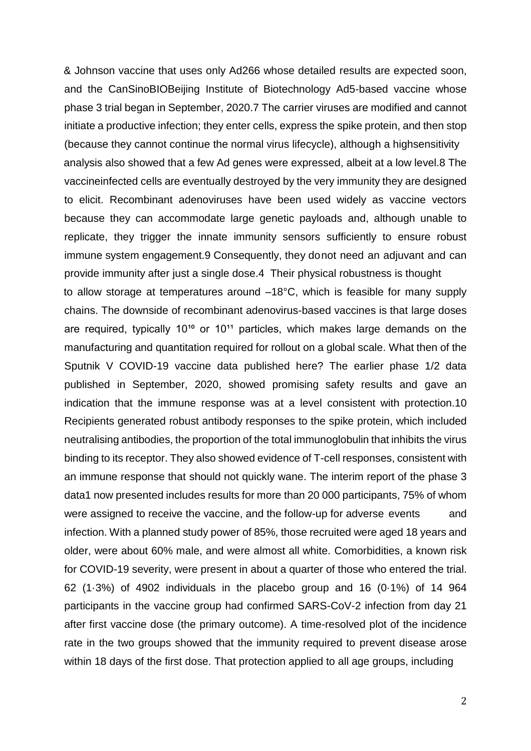& Johnson vaccine that uses only Ad266 whose detailed results are expected soon, and the CanSinoBIOBeijing Institute of Biotechnology Ad5-based vaccine whose phase 3 trial began in September, 2020.7 The carrier viruses are modified and cannot initiate a productive infection; they enter cells, express the spike protein, and then stop (because they cannot continue the normal virus lifecycle), although a highsensitivity analysis also showed that a few Ad genes were expressed, albeit at a low level.8 The vaccineinfected cells are eventually destroyed by the very immunity they are designed to elicit. Recombinant adenoviruses have been used widely as vaccine vectors because they can accommodate large genetic payloads and, although unable to replicate, they trigger the innate immunity sensors sufficiently to ensure robust immune system engagement.9 Consequently, they donot need an adjuvant and can provide immunity after just a single dose.4 Their physical robustness is thought to allow storage at temperatures around –18°C, which is feasible for many supply chains. The downside of recombinant adenovirus-based vaccines is that large doses are required, typically  $10^{10}$  or  $10^{11}$  particles, which makes large demands on the manufacturing and quantitation required for rollout on a global scale. What then of the Sputnik V COVID-19 vaccine data published here? The earlier phase 1/2 data published in September, 2020, showed promising safety results and gave an indication that the immune response was at a level consistent with protection.10 Recipients generated robust antibody responses to the spike protein, which included neutralising antibodies, the proportion of the total immunoglobulin that inhibits the virus binding to its receptor. They also showed evidence of T-cell responses, consistent with an immune response that should not quickly wane. The interim report of the phase 3 data1 now presented includes results for more than 20 000 participants, 75% of whom were assigned to receive the vaccine, and the follow-up for adverse events and infection. With a planned study power of 85%, those recruited were aged 18 years and older, were about 60% male, and were almost all white. Comorbidities, a known risk for COVID-19 severity, were present in about a quarter of those who entered the trial. 62 (1·3%) of 4902 individuals in the placebo group and 16 (0·1%) of 14 964 participants in the vaccine group had confirmed SARS-CoV-2 infection from day 21 after first vaccine dose (the primary outcome). A time-resolved plot of the incidence rate in the two groups showed that the immunity required to prevent disease arose within 18 days of the first dose. That protection applied to all age groups, including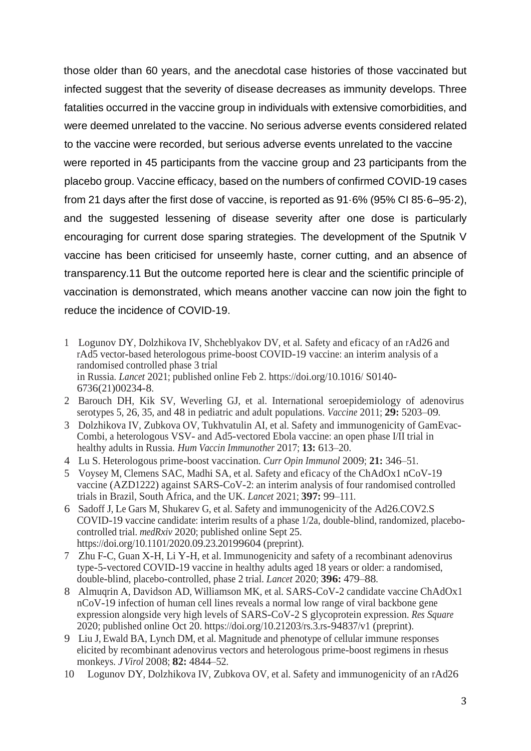those older than 60 years, and the anecdotal case histories of those vaccinated but infected suggest that the severity of disease decreases as immunity develops. Three fatalities occurred in the vaccine group in individuals with extensive comorbidities, and were deemed unrelated to the vaccine. No serious adverse events considered related to the vaccine were recorded, but serious adverse events unrelated to the vaccine were reported in 45 participants from the vaccine group and 23 participants from the placebo group. Vaccine efficacy, based on the numbers of confirmed COVID-19 cases from 21 days after the first dose of vaccine, is reported as 91·6% (95% CI 85·6–95·2), and the suggested lessening of disease severity after one dose is particularly encouraging for current dose sparing strategies. The development of the Sputnik V vaccine has been criticised for unseemly haste, corner cutting, and an absence of transparency.11 But the outcome reported here is clear and the scientific principle of vaccination is demonstrated, which means another vaccine can now join the fight to reduce the incidence of COVID-19.

- 1 Logunov DY, Dolzhikova IV, Shcheblyakov DV, et al. Safety and eficacy of an rAd26 and rAd5 vector-based heterologous prime-boost COVID-19 vaccine: an interim analysis of a randomised controlled phase 3 trial in Russia. *Lancet* 2021; published online Feb 2. https://doi.org/10.1016/ S0140- 6736(21)00234-8.
- 2 Barouch DH, Kik SV, Weverling GJ, et al. International seroepidemiology of adenovirus serotypes 5, 26, 35, and 48 in pediatric and adult populations. *Vaccine* 2011; **29:** 5203–09.
- 3 Dolzhikova IV, Zubkova OV, Tukhvatulin AI, et al. Safety and immunogenicity of GamEvac-Combi, a heterologous VSV- and Ad5-vectored Ebola vaccine: an open phase I/II trial in healthy adults in Russia. *Hum Vaccin Immunother* 2017; **13:** 613–20.
- 4 Lu S. Heterologous prime-boost vaccination. *Curr Opin Immunol* 2009; **21:** 346–51.
- 5 Voysey M, Clemens SAC, Madhi SA, et al. Safety and eficacy of the ChAdOx1 nCoV-19 vaccine (AZD1222) against SARS-CoV-2: an interim analysis of four randomised controlled trials in Brazil, South Africa, and the UK. *Lancet* 2021; **397:** 99–111.
- 6 Sadoff J, Le Gars M, Shukarev G, et al. Safety and immunogenicity of the Ad26.COV2.S COVID-19 vaccine candidate: interim results of a phase 1/2a, double-blind, randomized, placebocontrolled trial. *medRxiv* 2020; published online Sept 25. https://doi.org/10.1101/2020.09.23.20199604 (preprint).
- 7 Zhu F-C, Guan X-H, Li Y-H, et al. Immunogenicity and safety of a recombinant adenovirus type-5-vectored COVID-19 vaccine in healthy adults aged 18 years or older: a randomised, double-blind, placebo-controlled, phase 2 trial. *Lancet* 2020; **396:** 479–88.
- 8 Almuqrin A, Davidson AD, Williamson MK, et al. SARS-CoV-2 candidate vaccine ChAdOx1 nCoV-19 infection of human cell lines reveals a normal low range of viral backbone gene expression alongside very high levels of SARS-CoV-2 S glycoprotein expression. *Res Square* 2020; published online Oct 20. https://doi.org/10.21203/rs.3.rs-94837/v1 (preprint).
- 9 Liu J, Ewald BA, Lynch DM, et al. Magnitude and phenotype of cellular immune responses elicited by recombinant adenovirus vectors and heterologous prime-boost regimens in rhesus monkeys. *JVirol* 2008; **82:** 4844–52.
- 10 Logunov DY, Dolzhikova IV, Zubkova OV, et al. Safety and immunogenicity of an rAd26